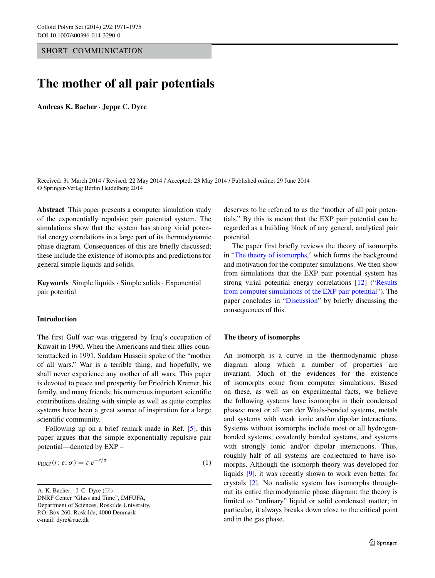SHORT COMMUNICATION

# **The mother of all pair potentials**

**Andreas K. Bacher · Jeppe C. Dyre**

Received: 31 March 2014 / Revised: 22 May 2014 / Accepted: 23 May 2014 / Published online: 29 June 2014 © Springer-Verlag Berlin Heidelberg 2014

**Abstract** This paper presents a computer simulation study of the exponentially repulsive pair potential system. The simulations show that the system has strong virial potential energy correlations in a large part of its thermodynamic phase diagram. Consequences of this are briefly discussed; these include the existence of isomorphs and predictions for general simple liquids and solids.

**Keywords** Simple liquids · Simple solids · Exponential pair potential

## **Introduction**

The first Gulf war was triggered by Iraq's occupation of Kuwait in 1990. When the Americans and their allies counterattacked in 1991, Saddam Hussein spoke of the "mother of all wars." War is a terrible thing, and hopefully, we shall never experience any mother of all wars. This paper is devoted to peace and prosperity for Friedrich Kremer, his family, and many friends; his numerous important scientific contributions dealing with simple as well as quite complex systems have been a great source of inspiration for a large scientific community.

Following up on a brief remark made in Ref. [\[5\]](#page-4-0), this paper argues that the simple exponentially repulsive pair potential—denoted by EXP –

$$
v_{\rm EXP}(r; \varepsilon, \sigma) = \varepsilon \, e^{-r/\sigma} \tag{1}
$$

A. K. Bacher  $\cdot$  J. C. Dyre ( $\boxtimes$ ) DNRF Center "Glass and Time", IMFUFA, Department of Sciences, Roskilde University, P.O. Box 260, Roskilde, 4000 Denmark

e-mail: [dyre@ruc.dk](mailto:dyre@ruc.dk)

deserves to be referred to as the "mother of all pair potentials." By this is meant that the EXP pair potential can be regarded as a building block of any general, analytical pair potential.

The paper first briefly reviews the theory of isomorphs in ["The theory of isomorphs,](#page-0-0)" which forms the background and motivation for the computer simulations. We then show from simulations that the EXP pair potential system has strong virial potential energy correlations [\[12\]](#page-4-1) ("Results from computer simulations of the EXP pair potentia[l"](#page-2-0)). The paper concludes in ["Discussion"](#page-3-0) by briefly discussing the consequences of this.

#### <span id="page-0-0"></span>**The theory of isomorphs**

An isomorph is a curve in the thermodynamic phase diagram along which a number of properties are invariant. Much of the evidences for the existence of isomorphs come from computer simulations. Based on these, as well as on experimental facts, we believe the following systems have isomorphs in their condensed phases: most or all van der Waals-bonded systems, metals and systems with weak ionic and/or dipolar interactions. Systems without isomorphs include most or all hydrogenbonded systems, covalently bonded systems, and systems with strongly ionic and/or dipolar interactions. Thus, roughly half of all systems are conjectured to have isomorphs. Although the isomorph theory was developed for liquids [\[9\]](#page-4-2), it was recently shown to work even better for crystals [\[2\]](#page-4-3). No realistic system has isomorphs throughout its entire thermodynamic phase diagram; the theory is limited to "ordinary" liquid or solid condensed matter; in particular, it always breaks down close to the critical point and in the gas phase.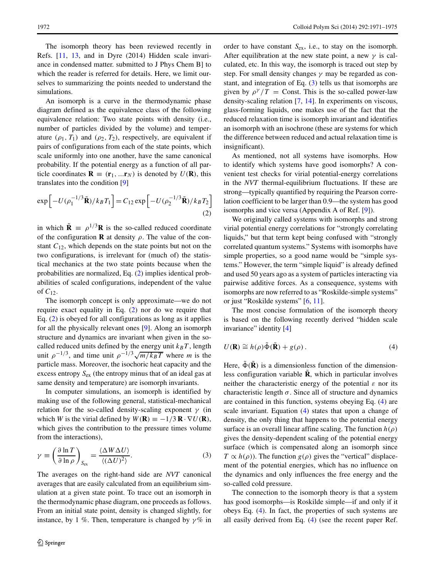The isomorph theory has been reviewed recently in Refs. [\[11,](#page-4-4) [13,](#page-4-5) and in Dyre (2014) Hidden scale invariance in condensed matter. submitted to J Phys Chem B] to which the reader is referred for details. Here, we limit ourselves to summarizing the points needed to understand the simulations.

An isomorph is a curve in the thermodynamic phase diagram defined as the equivalence class of the following equivalence relation: Two state points with density (i.e., number of particles divided by the volume) and temperature  $(\rho_1, T_1)$  and  $(\rho_2, T_2)$ , respectively, are equivalent if pairs of configurations from each of the state points, which scale uniformly into one another, have the same canonical probability. If the potential energy as a function of all particle coordinates  $\mathbf{R} \equiv (\mathbf{r}_1, \dots \mathbf{r}_N)$  is denoted by  $U(\mathbf{R})$ , this translates into the condition [\[9\]](#page-4-2)

<span id="page-1-0"></span>
$$
\exp\left[-U(\rho_1^{-1/3}\tilde{\mathbf{R}})/k_BT_1\right] = C_{12}\exp\left[-U(\rho_2^{-1/3}\tilde{\mathbf{R}})/k_BT_2\right]
$$
\n(2)

in which  $\tilde{\mathbf{R}} = \rho^{1/3} \mathbf{R}$  is the so-called reduced coordinate of the configuration **R** at density  $\rho$ . The value of the constant  $C_{12}$ , which depends on the state points but not on the two configurations, is irrelevant for (much of) the statistical mechanics at the two state points because when the probabilities are normalized, Eq. [\(2\)](#page-1-0) implies identical probabilities of scaled configurations, independent of the value of  $C_{12}$ .

The isomorph concept is only approximate—we do not require exact equality in Eq. [\(2\)](#page-1-0) nor do we require that Eq. [\(2\)](#page-1-0) is obeyed for all configurations as long as it applies for all the physically relevant ones [\[9\]](#page-4-2). Along an isomorph structure and dynamics are invariant when given in the socalled reduced units defined by the energy unit  $k_BT$ , length unit  $\rho^{-1/3}$ , and time unit  $\rho^{-1/3}\sqrt{m/k_BT}$  where *m* is the particle mass. Moreover, the isochoric heat capacity and the excess entropy  $S_{ex}$  (the entropy minus that of an ideal gas at same density and temperature) are isomorph invariants.

In computer simulations, an isomorph is identified by making use of the following general, statistical-mechanical relation for the so-called density-scaling exponent  $\gamma$  (in which *W* is the virial defined by  $W(\mathbf{R}) \equiv -1/3 \mathbf{R} \cdot \nabla U(\mathbf{R})$ , which gives the contribution to the pressure times volume from the interactions),

<span id="page-1-1"></span>
$$
\gamma \equiv \left(\frac{\partial \ln T}{\partial \ln \rho}\right)_{S_{\text{ex}}} = \frac{\langle \Delta W \Delta U \rangle}{\langle (\Delta U)^2 \rangle}.
$$
 (3)

The averages on the right-hand side are *NVT* canonical averages that are easily calculated from an equilibrium simulation at a given state point. To trace out an isomorph in the thermodynamic phase diagram, one proceeds as follows. From an initial state point, density is changed slightly, for instance, by 1 %. Then, temperature is changed by  $\gamma$ % in order to have constant  $S_{\text{ex}}$ , i.e., to stay on the isomorph. After equilibration at the new state point, a new  $\gamma$  is calculated, etc. In this way, the isomorph is traced out step by step. For small density changes  $\gamma$  may be regarded as constant, and integration of Eq. [\(3\)](#page-1-1) tells us that isomorphs are given by  $\rho^{\gamma}/T =$  Const. This is the so-called power-law density-scaling relation [\[7,](#page-4-6) [14\]](#page-4-7). In experiments on viscous, glass-forming liquids, one makes use of the fact that the reduced relaxation time is isomorph invariant and identifies an isomorph with an isochrone (these are systems for which the difference between reduced and actual relaxation time is insignificant).

As mentioned, not all systems have isomorphs. How to identify which systems have good isomorphs? A convenient test checks for virial potential-energy correlations in the *NVT* thermal-equilibrium fluctuations. If these are strong—typically quantified by requiring the Pearson correlation coefficient to be larger than 0.9—the system has good isomorphs and vice versa (Appendix A of Ref. [\[9\]](#page-4-2)).

We originally called systems with isomorphs and strong virial potential energy correlations for "strongly correlating liquids," but that term kept being confused with "strongly correlated quantum systems." Systems with isomorphs have simple properties, so a good name would be "simple systems." However, the term "simple liquid" is already defined and used 50 years ago as a system of particles interacting via pairwise additive forces. As a consequence, systems with isomorphs are now referred to as "Roskilde-simple systems" or just "Roskilde systems" [\[6,](#page-4-8) [11\]](#page-4-4).

<span id="page-1-2"></span>The most concise formulation of the isomorph theory is based on the following recently derived "hidden scale invariance" identity [\[4\]](#page-4-9)

$$
U(\mathbf{R}) \cong h(\rho)\tilde{\Phi}(\tilde{\mathbf{R}}) + g(\rho).
$$
 (4)

Here,  $\Phi(\mathbf{R})$  is a dimensionless function of the dimensionless configuration variable  $\tilde{\mathbf{R}}$ , which in particular involves neither the characteristic energy of the potential  $\varepsilon$  nor its characteristic length  $\sigma$ . Since all of structure and dynamics are contained in this function, systems obeying Eq. [\(4\)](#page-1-2) are scale invariant. Equation [\(4\)](#page-1-2) states that upon a change of density, the only thing that happens to the potential energy surface is an overall linear affine scaling. The function  $h(\rho)$ gives the density-dependent scaling of the potential energy surface (which is compensated along an isomorph since  $T \propto h(\rho)$ ). The function  $g(\rho)$  gives the "vertical" displacement of the potential energies, which has no influence on the dynamics and only influences the free energy and the so-called cold pressure.

The connection to the isomorph theory is that a system has good isomorphs—is Roskilde simple—if and only if it obeys Eq. [\(4\)](#page-1-2). In fact, the properties of such systems are all easily derived from Eq. [\(4\)](#page-1-2) (see the recent paper Ref.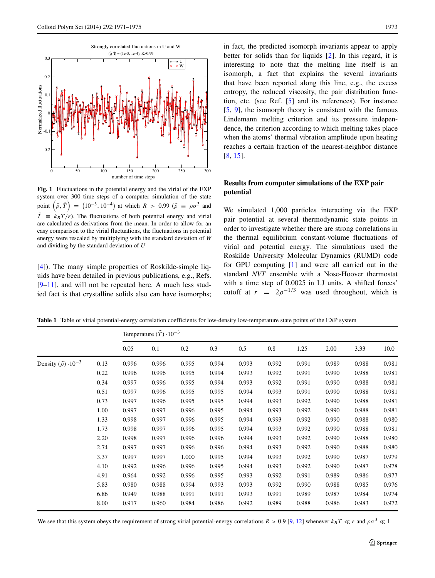<span id="page-2-1"></span>

**Fig. 1** Fluctuations in the potential energy and the virial of the EXP system over 300 time steps of a computer simulation of the state point  $(\tilde{\rho}, \tilde{T}) = (10^{-3}, 10^{-4})$  at which  $R > 0.99$   $(\tilde{\rho} \equiv \rho \sigma^3$  and  $\tilde{T} = k_B T/\varepsilon$ . The fluctuations of both potential energy and virial are calculated as derivations from the mean. In order to allow for an easy comparison to the virial fluctuations, the fluctuations in potential energy were rescaled by multiplying with the standard deviation of *W* and dividing by the standard deviation of *U*

[\[4\]](#page-4-9)). The many simple properties of Roskilde-simple liquids have been detailed in previous publications, e.g., Refs.  $[9-11]$  $[9-11]$ , and will not be repeated here. A much less studied fact is that crystalline solids also can have isomorphs; in fact, the predicted isomorph invariants appear to apply better for solids than for liquids [\[2\]](#page-4-3). In this regard, it is interesting to note that the melting line itself is an isomorph, a fact that explains the several invariants that have been reported along this line, e.g., the excess entropy, the reduced viscosity, the pair distribution function, etc. (see Ref. [\[5\]](#page-4-0) and its references). For instance [\[5,](#page-4-0) [9\]](#page-4-2), the isomorph theory is consistent with the famous Lindemann melting criterion and its pressure independence, the criterion according to which melting takes place when the atoms' thermal vibration amplitude upon heating reaches a certain fraction of the nearest-neighbor distance [\[8,](#page-4-10) [15\]](#page-4-11).

# <span id="page-2-0"></span>**Results from computer simulations of the EXP pair potential**

We simulated 1,000 particles interacting via the EXP pair potential at several thermodynamic state points in order to investigate whether there are strong correlations in the thermal equilibrium constant-volume fluctuations of virial and potential energy. The simulations used the Roskilde University Molecular Dynamics (RUMD) code for GPU computing [\[1\]](#page-4-12) and were all carried out in the standard *NVT* ensemble with a Nose-Hoover thermostat with a time step of 0.0025 in LJ units. A shifted forces' cutoff at  $r = 2\rho^{-1/3}$  was used throughout, which is

<span id="page-2-2"></span>**Table 1** Table of virial potential-energy correlation coefficients for low-density low-temperature state points of the EXP system

|                                        |      | Temperature $(\tilde{T}) \cdot 10^{-3}$ |       |       |       |       |       |       |       |       |       |
|----------------------------------------|------|-----------------------------------------|-------|-------|-------|-------|-------|-------|-------|-------|-------|
|                                        |      | 0.05                                    | 0.1   | 0.2   | 0.3   | 0.5   | 0.8   | 1.25  | 2.00  | 3.33  | 10.0  |
| Density $(\tilde{\rho}) \cdot 10^{-3}$ | 0.13 | 0.996                                   | 0.996 | 0.995 | 0.994 | 0.993 | 0.992 | 0.991 | 0.989 | 0.988 | 0.981 |
|                                        | 0.22 | 0.996                                   | 0.996 | 0.995 | 0.994 | 0.993 | 0.992 | 0.991 | 0.990 | 0.988 | 0.981 |
|                                        | 0.34 | 0.997                                   | 0.996 | 0.995 | 0.994 | 0.993 | 0.992 | 0.991 | 0.990 | 0.988 | 0.981 |
|                                        | 0.51 | 0.997                                   | 0.996 | 0.995 | 0.995 | 0.994 | 0.993 | 0.991 | 0.990 | 0.988 | 0.981 |
|                                        | 0.73 | 0.997                                   | 0.996 | 0.995 | 0.995 | 0.994 | 0.993 | 0.992 | 0.990 | 0.988 | 0.981 |
|                                        | 1.00 | 0.997                                   | 0.997 | 0.996 | 0.995 | 0.994 | 0.993 | 0.992 | 0.990 | 0.988 | 0.981 |
|                                        | 1.33 | 0.998                                   | 0.997 | 0.996 | 0.995 | 0.994 | 0.993 | 0.992 | 0.990 | 0.988 | 0.980 |
|                                        | 1.73 | 0.998                                   | 0.997 | 0.996 | 0.995 | 0.994 | 0.993 | 0.992 | 0.990 | 0.988 | 0.981 |
|                                        | 2.20 | 0.998                                   | 0.997 | 0.996 | 0.996 | 0.994 | 0.993 | 0.992 | 0.990 | 0.988 | 0.980 |
|                                        | 2.74 | 0.997                                   | 0.997 | 0.996 | 0.996 | 0.994 | 0.993 | 0.992 | 0.990 | 0.988 | 0.980 |
|                                        | 3.37 | 0.997                                   | 0.997 | 1.000 | 0.995 | 0.994 | 0.993 | 0.992 | 0.990 | 0.987 | 0.979 |
|                                        | 4.10 | 0.992                                   | 0.996 | 0.996 | 0.995 | 0.994 | 0.993 | 0.992 | 0.990 | 0.987 | 0.978 |
|                                        | 4.91 | 0.964                                   | 0.992 | 0.996 | 0.995 | 0.993 | 0.992 | 0.991 | 0.989 | 0.986 | 0.977 |
|                                        | 5.83 | 0.980                                   | 0.988 | 0.994 | 0.993 | 0.993 | 0.992 | 0.990 | 0.988 | 0.985 | 0.976 |
|                                        | 6.86 | 0.949                                   | 0.988 | 0.991 | 0.991 | 0.993 | 0.991 | 0.989 | 0.987 | 0.984 | 0.974 |
|                                        | 8.00 | 0.917                                   | 0.960 | 0.984 | 0.986 | 0.992 | 0.989 | 0.988 | 0.986 | 0.983 | 0.972 |
|                                        |      |                                         |       |       |       |       |       |       |       |       |       |

We see that this system obeys the requirement of strong virial potential-energy correlations  $R > 0.9$  [\[9,](#page-4-2) [12\]](#page-4-1) whenever  $k_B T \ll \varepsilon$  and  $\rho \sigma^3 \ll 1$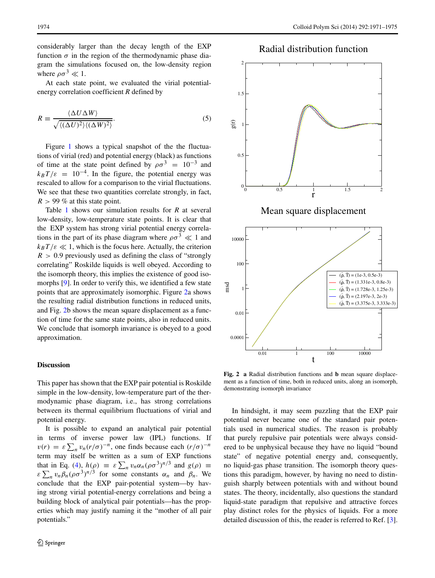considerably larger than the decay length of the EXP function  $\sigma$  in the region of the thermodynamic phase diagram the simulations focused on, the low-density region where  $\rho \sigma^3 \ll 1$ .

At each state point, we evaluated the virial potentialenergy correlation coefficient *R* defined by

$$
R \equiv \frac{\langle \Delta U \Delta W \rangle}{\sqrt{\langle (\Delta U)^2 \rangle \langle (\Delta W)^2 \rangle}}.
$$
\n(5)

Figure [1](#page-2-1) shows a typical snapshot of the the fluctuations of virial (red) and potential energy (black) as functions of time at the state point defined by  $\rho \sigma^3 = 10^{-3}$  and  $k_B T/\varepsilon = 10^{-4}$ . In the figure, the potential energy was rescaled to allow for a comparison to the virial fluctuations. We see that these two quantities correlate strongly, in fact,  $R > 99\%$  at this state point.

Table [1](#page-2-2) shows our simulation results for *R* at several low-density, low-temperature state points. It is clear that the EXP system has strong virial potential energy correlations in the part of its phase diagram where  $\rho \sigma^3 \ll 1$  and  $k_B T/\varepsilon \ll 1$ , which is the focus here. Actually, the criterion  $R > 0.9$  previously used as defining the class of "strongly" correlating" Roskilde liquids is well obeyed. According to the isomorph theory, this implies the existence of good isomorphs [\[9\]](#page-4-2). In order to verify this, we identified a few state points that are approximately isomorphic. Figure [2a](#page-3-1) shows the resulting radial distribution functions in reduced units, and Fig. [2b](#page-3-1) shows the mean square displacement as a function of time for the same state points, also in reduced units. We conclude that isomorph invariance is obeyed to a good approximation.

### <span id="page-3-0"></span>**Discussion**

This paper has shown that the EXP pair potential is Roskilde simple in the low-density, low-temperature part of the thermodynamic phase diagram, i.e., has strong correlations between its thermal equilibrium fluctuations of virial and potential energy.

It is possible to expand an analytical pair potential in terms of inverse power law (IPL) functions. If  $v(r) = \varepsilon \sum_n v_n (r/\sigma)^{-n}$ , one finds because each  $(r/\sigma)^{-n}$ <br>term may itself be written as a sum of EXP functions term may itself be written as a sum of EXP functions that in Eq. [\(4\)](#page-1-2),  $h(\rho) \equiv \varepsilon \sum_n v_n \alpha_n (\rho \sigma^3)^{n/3}$  and  $g(\rho) \equiv \varepsilon \sum_n v_n \beta_n (\rho \sigma^3)^{n/3}$  for some constants  $\alpha_n$  and  $\beta_n$ . We conclude that the EXP pair-potential system—by havconclude that the EXP pair-potential system—by having strong virial potential-energy correlations and being a building block of analytical pair potentials—has the properties which may justify naming it the "mother of all pair potentials."

# Radial distribution function

<span id="page-3-1"></span>

**Fig. 2 a** Radial distribution functions and **b** mean square displacement as a function of time, both in reduced units, along an isomorph, demonstrating isomorph invariance

In hindsight, it may seem puzzling that the EXP pair potential never became one of the standard pair potentials used in numerical studies. The reason is probably that purely repulsive pair potentials were always considered to be unphysical because they have no liquid "bound state" of negative potential energy and, consequently, no liquid-gas phase transition. The isomorph theory questions this paradigm, however, by having no need to distinguish sharply between potentials with and without bound states. The theory, incidentally, also questions the standard liquid-state paradigm that repulsive and attractive forces play distinct roles for the physics of liquids. For a more detailed discussion of this, the reader is referred to Ref. [\[3\]](#page-4-13).